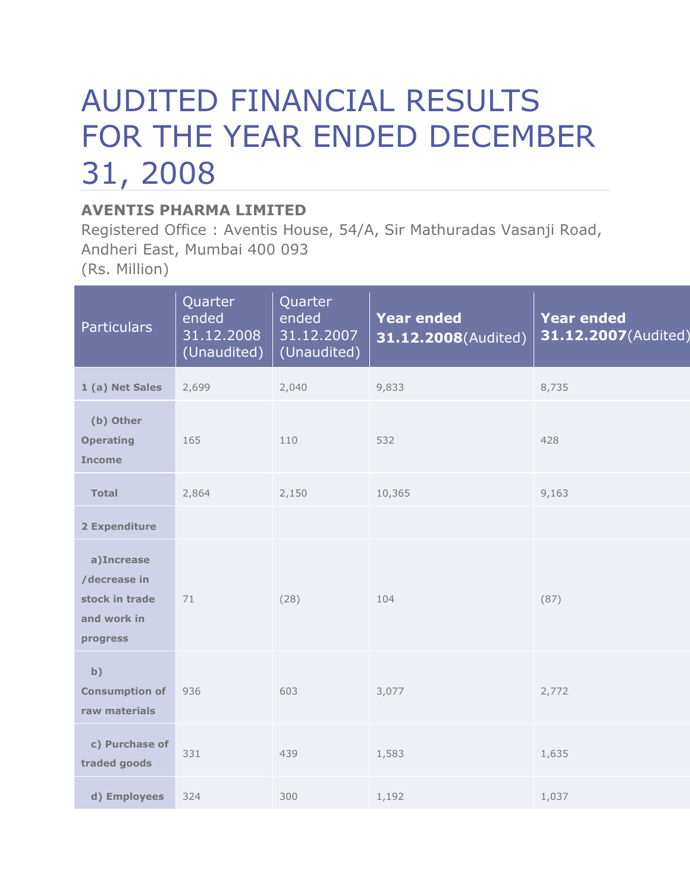## AUDITED FINANCIAL RESULTS FOR THE YEAR ENDED DECEMBER 31, 2008

## **AVENTIS PHARMA LIMITED**

Registered Office : Aventis House, 54/A, Sir Mathuradas Vasanji Road, Andheri East, Mumbai 400 093 (Rs. Million)

| <b>Particulars</b>                                                      | Quarter<br>ended<br>31.12.2008<br>(Unaudited) | Quarter<br>ended<br>31.12.2007<br>(Unaudited) | <b>Year ended</b><br>31.12.2008(Audited) | <b>Year ended</b><br>31.12.2007(Audited) |
|-------------------------------------------------------------------------|-----------------------------------------------|-----------------------------------------------|------------------------------------------|------------------------------------------|
| 1 (a) Net Sales                                                         | 2,699                                         | 2,040                                         | 9,833                                    | 8,735                                    |
| (b) Other<br><b>Operating</b><br><b>Income</b>                          | 165                                           | 110                                           | 532                                      | 428                                      |
| <b>Total</b>                                                            | 2,864                                         | 2,150                                         | 10,365                                   | 9,163                                    |
| 2 Expenditure                                                           |                                               |                                               |                                          |                                          |
| a)Increase<br>/decrease in<br>stock in trade<br>and work in<br>progress | 71                                            | (28)                                          | 104                                      | (87)                                     |
| b)<br><b>Consumption of</b><br>raw materials                            | 936                                           | 603                                           | 3,077                                    | 2,772                                    |
| c) Purchase of<br>traded goods                                          | 331                                           | 439                                           | 1,583                                    | 1,635                                    |
| d) Employees                                                            | 324                                           | 300                                           | 1,192                                    | 1,037                                    |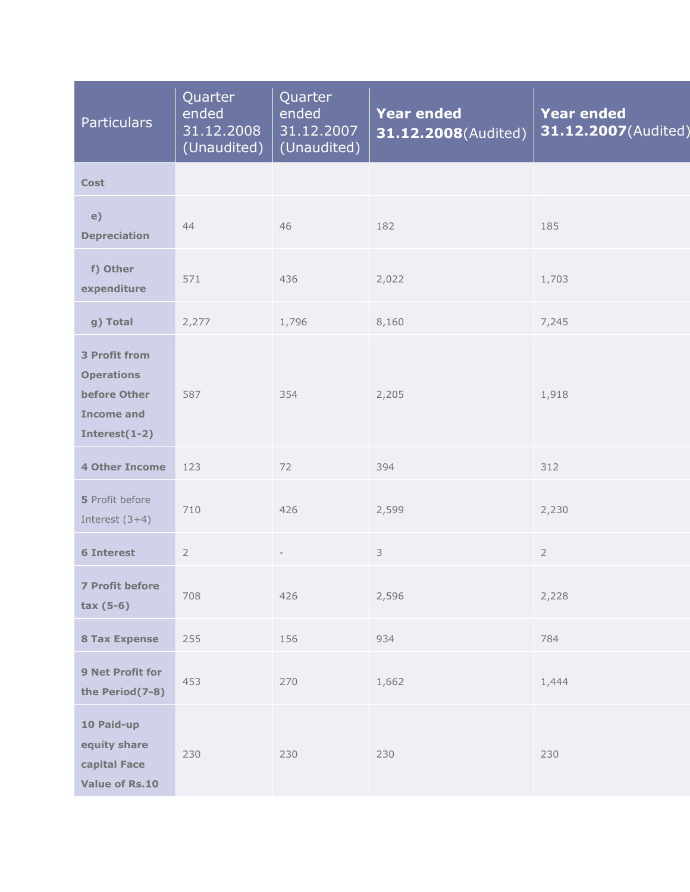| <b>Particulars</b>                                                                                 | Quarter<br>ended<br>31.12.2008<br>(Unaudited) | Quarter<br>ended<br>31.12.2007<br>(Unaudited) | <b>Year ended</b><br>31.12.2008(Audited) | <b>Year ended</b><br>31.12.2007(Audited) |
|----------------------------------------------------------------------------------------------------|-----------------------------------------------|-----------------------------------------------|------------------------------------------|------------------------------------------|
| <b>Cost</b>                                                                                        |                                               |                                               |                                          |                                          |
| e)<br><b>Depreciation</b>                                                                          | 44                                            | 46                                            | 182                                      | 185                                      |
| f) Other<br>expenditure                                                                            | 571                                           | 436                                           | 2,022                                    | 1,703                                    |
| g) Total                                                                                           | 2,277                                         | 1,796                                         | 8,160                                    | 7,245                                    |
| <b>3 Profit from</b><br><b>Operations</b><br>before Other<br><b>Income and</b><br>Interest $(1-2)$ | 587                                           | 354                                           | 2,205                                    | 1,918                                    |
| <b>4 Other Income</b>                                                                              | 123                                           | 72                                            | 394                                      | 312                                      |
| 5 Profit before<br>Interest $(3+4)$                                                                | 710                                           | 426                                           | 2,599                                    | 2,230                                    |
| <b>6 Interest</b>                                                                                  | $\sqrt{2}$                                    |                                               | 3                                        | $\overline{2}$                           |
| <b>7 Profit before</b><br>$tax(5-6)$                                                               | 708                                           | 426                                           | 2,596                                    | 2,228                                    |
| <b>8 Tax Expense</b>                                                                               | 255                                           | 156                                           | 934                                      | 784                                      |
| 9 Net Profit for<br>the Period(7-8)                                                                | 453                                           | 270                                           | 1,662                                    | 1,444                                    |
| 10 Paid-up<br>equity share<br>capital Face<br><b>Value of Rs.10</b>                                | 230                                           | 230                                           | 230                                      | 230                                      |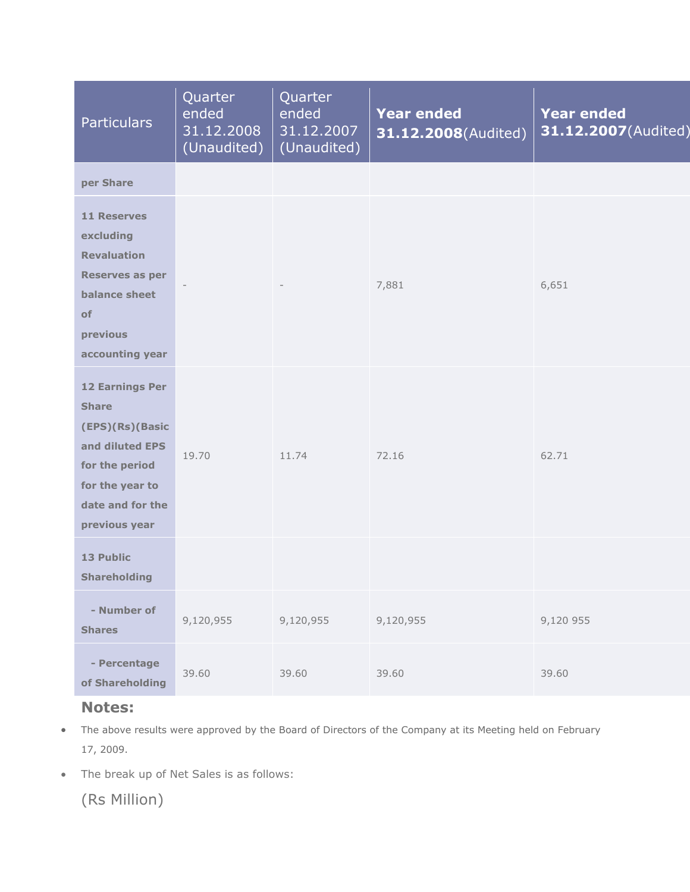| <b>Particulars</b>                                                                                                                                     | Quarter<br>ended<br>31.12.2008<br>(Unaudited) | Quarter<br>ended<br>31.12.2007<br>(Unaudited) | <b>Year ended</b><br>31.12.2008(Audited) | <b>Year ended</b><br>31.12.2007(Audited) |
|--------------------------------------------------------------------------------------------------------------------------------------------------------|-----------------------------------------------|-----------------------------------------------|------------------------------------------|------------------------------------------|
| per Share                                                                                                                                              |                                               |                                               |                                          |                                          |
| <b>11 Reserves</b><br>excluding<br><b>Revaluation</b><br>Reserves as per<br>balance sheet<br>of<br>previous<br>accounting year                         |                                               |                                               | 7,881                                    | 6,651                                    |
| <b>12 Earnings Per</b><br><b>Share</b><br>(EPS)(Rs)(Basic<br>and diluted EPS<br>for the period<br>for the year to<br>date and for the<br>previous year | 19.70                                         | 11.74                                         | 72.16                                    | 62.71                                    |
| 13 Public<br><b>Shareholding</b>                                                                                                                       |                                               |                                               |                                          |                                          |
| - Number of<br><b>Shares</b>                                                                                                                           | 9,120,955                                     | 9,120,955                                     | 9,120,955                                | 9,120 955                                |
| - Percentage<br>of Shareholding                                                                                                                        | 39.60                                         | 39.60                                         | 39.60                                    | 39.60                                    |

## **Notes:**

- The above results were approved by the Board of Directors of the Company at its Meeting held on February 17, 2009.
- The break up of Net Sales is as follows:

(Rs Million)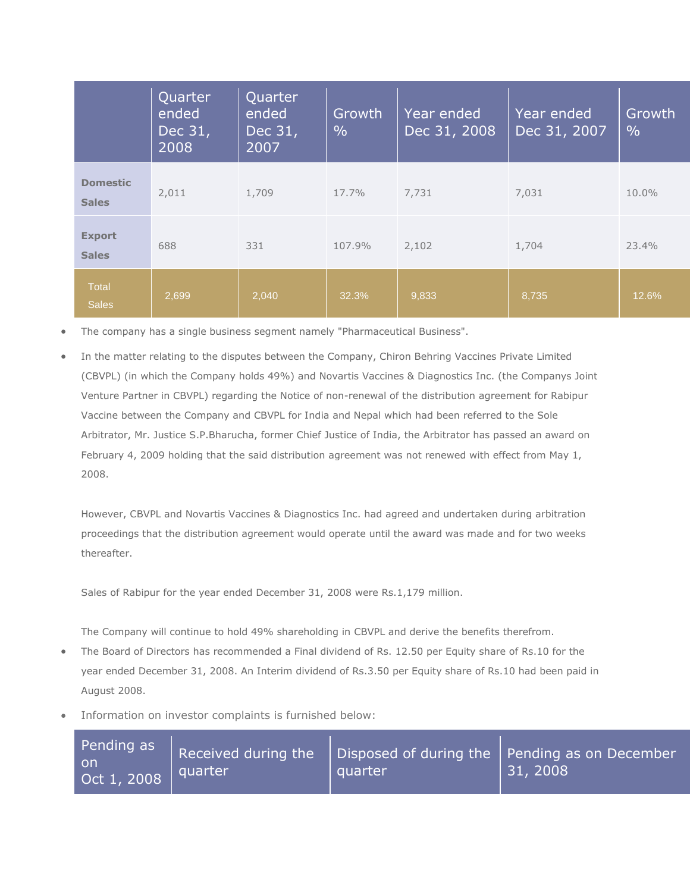|                                 | Quarter<br>ended<br>Dec 31,<br>2008 | Quarter<br>ended<br>Dec 31,<br>2007 | Growth<br>$\frac{0}{0}$ | Year ended<br>Dec 31, 2008 | Year ended<br>Dec 31, 2007 | Growth<br>$\frac{0}{0}$ |
|---------------------------------|-------------------------------------|-------------------------------------|-------------------------|----------------------------|----------------------------|-------------------------|
| <b>Domestic</b><br><b>Sales</b> | 2,011                               | 1,709                               | 17.7%                   | 7,731                      | 7,031                      | 10.0%                   |
| <b>Export</b><br><b>Sales</b>   | 688                                 | 331                                 | 107.9%                  | 2,102                      | 1,704                      | 23.4%                   |
| Total<br><b>Sales</b>           | 2,699                               | 2,040                               | 32.3%                   | 9,833                      | 8,735                      | 12.6%                   |

The company has a single business segment namely "Pharmaceutical Business".

 In the matter relating to the disputes between the Company, Chiron Behring Vaccines Private Limited (CBVPL) (in which the Company holds 49%) and Novartis Vaccines & Diagnostics Inc. (the Companys Joint Venture Partner in CBVPL) regarding the Notice of non-renewal of the distribution agreement for Rabipur Vaccine between the Company and CBVPL for India and Nepal which had been referred to the Sole Arbitrator, Mr. Justice S.P.Bharucha, former Chief Justice of India, the Arbitrator has passed an award on February 4, 2009 holding that the said distribution agreement was not renewed with effect from May 1, 2008.

However, CBVPL and Novartis Vaccines & Diagnostics Inc. had agreed and undertaken during arbitration proceedings that the distribution agreement would operate until the award was made and for two weeks thereafter.

Sales of Rabipur for the year ended December 31, 2008 were Rs.1,179 million.

The Company will continue to hold 49% shareholding in CBVPL and derive the benefits therefrom.

- The Board of Directors has recommended a Final dividend of Rs. 12.50 per Equity share of Rs.10 for the year ended December 31, 2008. An Interim dividend of Rs.3.50 per Equity share of Rs.10 had been paid in August 2008.
- Information on investor complaints is furnished below:

| Pending as<br>⊧on<br>$\sqrt{$ Oct 1, 2008 | quarter | quarter | Received during the $\parallel$ Disposed of during the $\parallel$ Pending as on December<br>31, 2008 |
|-------------------------------------------|---------|---------|-------------------------------------------------------------------------------------------------------|
|-------------------------------------------|---------|---------|-------------------------------------------------------------------------------------------------------|